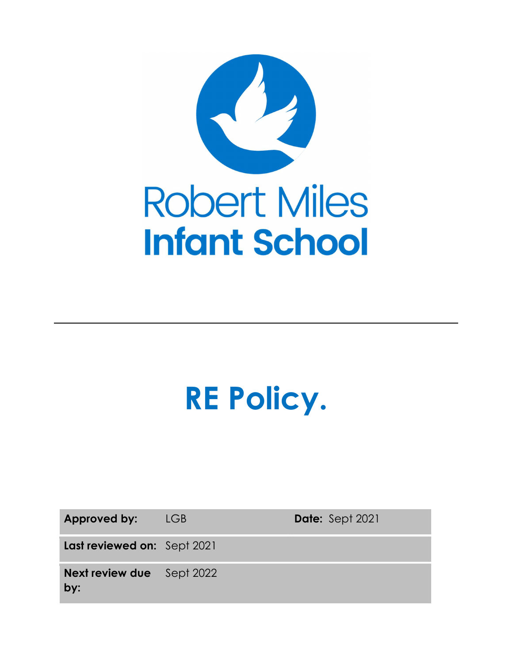

# RE Policy.

| Approved by:                            | LGB | <b>Date:</b> Sept 2021 |
|-----------------------------------------|-----|------------------------|
| Last reviewed on: Sept 2021             |     |                        |
| <b>Next review due</b> Sept 2022<br>by: |     |                        |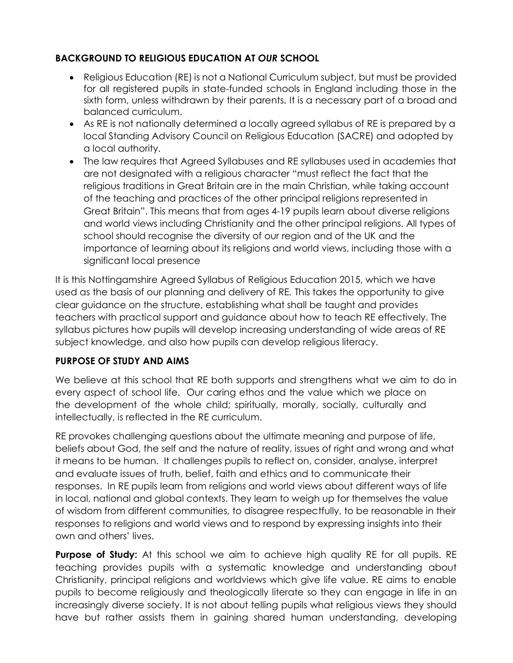# BACKGROUND TO RELIGIOUS EDUCATION AT OUR SCHOOL

- Religious Education (RE) is not a National Curriculum subject, but must be provided for all registered pupils in state-funded schools in England including those in the sixth form, unless withdrawn by their parents. It is a necessary part of a broad and balanced curriculum.
- As RE is not nationally determined a locally agreed syllabus of RE is prepared by a local Standing Advisory Council on Religious Education (SACRE) and adopted by a local authority.
- The law requires that Agreed Syllabuses and RE syllabuses used in academies that are not designated with a religious character "must reflect the fact that the religious traditions in Great Britain are in the main Christian, while taking account of the teaching and practices of the other principal religions represented in Great Britain". This means that from ages 4-19 pupils learn about diverse religions and world views including Christianity and the other principal religions. All types of school should recognise the diversity of our region and of the UK and the importance of learning about its religions and world views, including those with a significant local presence

It is this Nottingamshire Agreed Syllabus of Religious Education 2015, which we have used as the basis of our planning and delivery of RE. This takes the opportunity to give clear guidance on the structure, establishing what shall be taught and provides teachers with practical support and guidance about how to teach RE effectively. The syllabus pictures how pupils will develop increasing understanding of wide areas of RE subject knowledge, and also how pupils can develop religious literacy.

## PURPOSE OF STUDY AND AIMS

We believe at this school that RE both supports and strengthens what we aim to do in every aspect of school life. Our caring ethos and the value which we place on the development of the whole child; spiritually, morally, socially, culturally and intellectually, is reflected in the RE curriculum.

RE provokes challenging questions about the ultimate meaning and purpose of life, beliefs about God, the self and the nature of reality, issues of right and wrong and what it means to be human. It challenges pupils to reflect on, consider, analyse, interpret and evaluate issues of truth, belief, faith and ethics and to communicate their responses. In RE pupils learn from religions and world views about different ways of life in local, national and global contexts. They learn to weigh up for themselves the value of wisdom from different communities, to disagree respectfully, to be reasonable in their responses to religions and world views and to respond by expressing insights into their own and others' lives.

**Purpose of Study:** At this school we aim to achieve high quality RE for all pupils. RE teaching provides pupils with a systematic knowledge and understanding about Christianity, principal religions and worldviews which give life value. RE aims to enable pupils to become religiously and theologically literate so they can engage in life in an increasingly diverse society. It is not about telling pupils what religious views they should have but rather assists them in gaining shared human understanding, developing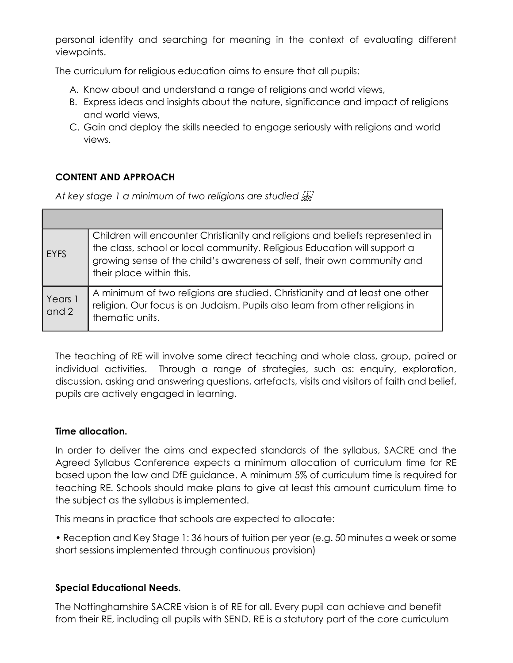personal identity and searching for meaning in the context of evaluating different viewpoints.

The curriculum for religious education aims to ensure that all pupils:

- A. Know about and understand a range of religions and world views,
- B. Express ideas and insights about the nature, significance and impact of religions and world views,
- C. Gain and deploy the skills needed to engage seriously with religions and world views.

## CONTENT AND APPROACH

At key stage 1 a minimum of two religions are studied  $\frac{1}{2}$ 

| <b>EYFS</b>      | Children will encounter Christianity and religions and beliefs represented in<br>the class, school or local community. Religious Education will support a<br>growing sense of the child's awareness of self, their own community and<br>their place within this. |
|------------------|------------------------------------------------------------------------------------------------------------------------------------------------------------------------------------------------------------------------------------------------------------------|
| Years 1<br>and 2 | A minimum of two religions are studied. Christianity and at least one other<br>religion. Our focus is on Judaism. Pupils also learn from other religions in<br>thematic units.                                                                                   |

The teaching of RE will involve some direct teaching and whole class, group, paired or individual activities. Through a range of strategies, such as: enquiry, exploration, discussion, asking and answering questions, artefacts, visits and visitors of faith and belief, pupils are actively engaged in learning.

#### Time allocation.

In order to deliver the aims and expected standards of the syllabus, SACRE and the Agreed Syllabus Conference expects a minimum allocation of curriculum time for RE based upon the law and DfE guidance. A minimum 5% of curriculum time is required for teaching RE. Schools should make plans to give at least this amount curriculum time to the subject as the syllabus is implemented.

This means in practice that schools are expected to allocate:

• Reception and Key Stage 1: 36 hours of tuition per year (e.g. 50 minutes a week or some short sessions implemented through continuous provision)

#### Special Educational Needs.

The Nottinghamshire SACRE vision is of RE for all. Every pupil can achieve and benefit from their RE, including all pupils with SEND. RE is a statutory part of the core curriculum